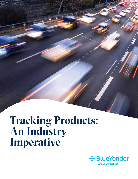# **Tracking Products: An Industry Imperative**

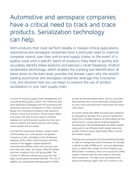# Automotive and aerospace companies have a critical need to track and trace products. Serialization technology can help.

With products that must perform reliably in mission-critical applications, automotive and aerospace companies have a particular need to maintain complete control over their end-to-end supply chains. In the event of a quality issue with a specific batch of products, they need to quickly and accurately identify these products and execute a recall flawlessly. Product serialization technology, which enables the tracking and identification of items down to the item level, provides the answer. Learn why the world's leading automotive and aerospace companies leverage this innovative tool, and discover how you can begin to explore the use of product serialization in your own supply chain.

In terms of exacting supply chain management and uncompromising quality control, few industries face more significant challenges than the automotive and aerospace industries. Companies in these industries design and manufacture products that operate in mission-critical environments, where human safety is at stake. Not only do they need to carefully engineer and control product quality, but they also need to identify and recall products with quality issues quickly and accurately.

Consider the automotive industry, where recalls unfortunately occur with greater and greater frequency. In fact, according to the US National Highway Traffic Safety Administration (NHTSA), several of the biggest original equipment manufacturers (OEMs) recall more cars per year than they sell today<sup>1</sup>. By August 2018, 50 models had been recalled in the USA during 2018<sup>2</sup>. The number of affected vehicles and users for that eight-month period exceeded 200,000. The risk of liability and reputational damage posed to OEMs,

as well as the associated safety risk for consumers, demonstrates the critical importance of being able to track, trace and recall parts from across the entire value chain.

It's worth noting that OEMs are particularly sensitive to reputational damage. The Customer Satisfaction Index (CSI), a market measure of aftermarket service performance, is a big deal for original equipment manufacturers. The CSI determines the OEM's market rating, and it can influence both market share and growth. Product recalls significantly affect revenue and market loyalty.

Tracking and tracing parts are also essential activities in order to manage and control inventory. On average, a vehicle is made of 1800 parts<sup>3</sup>, yet auto dealerships want to reduce the number of stock keeping units (SKUs) held in inventory. Parts and accessories (P&A) support network partners also want to decrease their inventories. The high costs associated with space, the working capital tied up in inventory, the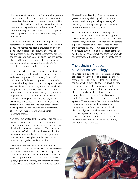obsolescence of parts and the frequent changeovers in models necessitate the need to limit spare parts inventories. This makes it important to have visibility into both historical and predicted demand, stock the correct inventory and optimize the number of SKUs carried. Tracking and tracing individual parts represent critical capabilities for precise inventory management and control.

In addition, OEM warranty programs require the replacement of parts in vehicles with OEM-certified parts. The market has seen a proliferation of "gray" parts (counterfeits or substitutes that may be substandard). Across the global automotive industry, the drive is on to eliminate gray parts from the supply chain, as they not only expose the consumer to product failure but also cannibalize OEMs' aftermarket sales of parts and accessories.

In the worldwide aerospace industry, manufacturers need to manage both standard components and serialized components (or rotables) for aircraft maintenance. Serialized components have a serial number that helps keep track of these parts, which are usually rebuilt when they wear out. Serialized components are generally major parts that are life-limited in some way, whether by time, airframe/ engine hours or airframe/engine cycles. Some examples are engines, hydraulic pumps, brake assemblies and spoiler actuators. Because of their critical nature, these are controlled parts that must have a paper trail that follows their movement, showing who worked on them and other important details.

Non-serialized or standard components are generally simple, cheap or single-use parts which do not require a serial number. Some examples are windows, structural fittings and floorboards. There are also "consumables" which only require traceability for each package or set, because they are generally one-use items. Examples include rivets, screws, bolts, O-rings, gaskets and cotter pins.

However, all aircraft parts, both serialized and standard, still must be traceable to the manufacturer by a lot or batch number. All parts are subject to recall, which means tracking and tracing processes must be optimized to better manage this process. Speed, agility and accuracy are essential in order to protect the brand reputation and human safety.

The tracking and tracing of parts also enable greater inventory visibility, which can speed up production time, support the processing of warranty claims, help manage customer repair orders and reduce inventory levels.

Effectively tracking products also helps address issues such as counterfeiting, diversion, product authentication, industry regulations and mandates. Globalization, outsourcing, the need to link disparate supplier processes and other sources of supply chain complexity only complicate the problem. As a result, automotive and aerospace companies need to better collect, track and trace the products and information that traverse their supply chains.

# The solution: Product serialization technology

The clear solution is the implementation of product serialization technology. This capability enables manufacturers to uniquely identify products in the supply chain down to the item level, beyond the lot/batch level. It is implemented with tags, using either barcode or RFID (radio frequency identification) technology. Devices along the supply chain read these serialized tags and send information into manufacturers' back-end systems. These systems feed data to a serialized management system, an integrated event management platform that tracks uniquely identified objects, as well as events relevant to those objects. By using this data to compare expected and actual events, companies can develop track-and-trace applications, identify exceptions and trigger alerts.

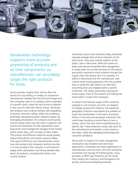

# Serialization technology supports more accurate pinpointing of products and all their components, so manufacturers can accurately target the right products for recall.

As an example, imagine that, shortly after the launch of a top-selling car model, an automotive manufacturer realizes that the fuel tank design and the composite used in its welding, which originated in a specific plant, make the tank prone to explode in the case of a left-side vehicle impact. Obviously the company must recall all vehicles with expediency to protect consumer safety, while also avoiding a potentially devastating public relations impact. By leveraging serialization, the company could quickly and accurately recall only the units in question and ensure the installation of safe replacement parts. Executives could manage the resupply of the market within seven days, with virtually no back orders. This prompt and effective response would greatly reduce bad publicity and protect general safety. This type of efficiency and responsiveness saves lives and protects the company's bottom line. But it is only possible if the company is committed to supply chain optimization and having detailed data about all products, including their history and current location.

Conversely, across most industries today, companies typically manage their product materials at the batch level. They have limited visibility at the pallet, case or item level. While this seems to keep costs low and streamline data management, it simply does not provide the level of information granularity required to track products through the supply chain and reduce risks. For example, if a defect is discovered and the manufacturer uses a batch-level tracking approach, the only prudent way to recall the right items is to take back everything that was shipped within a specific timeframe. This means essentially clearing the entire supply chain of the product and making the recall wider in scope than necessary.

In today's international supply chains, products originate in one location, but then are shipped to multiple locations for finishing. This expansive geographic footprint exacerbates the problem of recall and containment in the event of product failure. In the auto and aerospace industries, this could mean recalling an entire fleet of cars or planes, rather than just those manufactured at a specific site. These extensive recalls add costs for the manufacturer and retailer in lost inventory and sales, while also damaging brand image and consumer confidence.

Along with its support for recall management, serialization also enables track-and-trace applications. Companies use these applications to automatically track the intra- and inter-enterprise movement and storage of finished goods, using barcodes or RFID tags. Products can be traced from receipt into inventory, and throughout the picking, packing and shipping processes.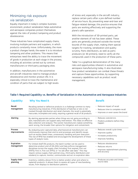# Minimizing risk exposure via serialization

Equally important in today's complex business environment, product serialization helps automotive and aerospace companies protect themselves against the risks of product tampering and product obsolescence.

These industries have complicated supply chains, involving multiple partners and suppliers, in which products constantly move. Unfortunately, the more a product changes hands, the easier it is to introduce tampering and other problems. This means that enterprises need the ability to trace the movement of goods in production at each stage in the process, including all activities carried out by contract manufacturers or third-party packaging sites.

In addition, manufacturers in the automotive and aircraft industries need to manage product obsolescence and monitor product life. It is especially critical to trace the maintenance and condition of parts that are subject to high levels of stress and, especially in the aircraft industry, replace certain parts after a pre-defined number of service hours. By preventing wear-and-tear and fatigue-related damage, this practice ensures that parts are working effectively and supporting the plane's safe operation.

With the introduction of 3D-printed parts, yet another element of risk has been added. These parts are generally produced outside the normal bounds of the supply chain, making them special targets for tracking, serialization and quality scrutiny. Parts distributors, as well as parts producers (or 3D printers), need to verify all the compounds used in the production of these parts.

Table 1 is a graphical demonstration of the many risks and opportunities inherent in automotive and aerospace manufacturing today. It also illustrates how product serialization can combat these threats and capture these opportunities, by supporting necessary capabilities such as product recall management.

#### **Table 1: Required Capability vs. Benefits of Serialization in the Automotive and Aerospace Industries**

| <b>Capability</b>              | <b>Why You Need It</b>                                                                                                                                                                                                                                                                                                                                                                                                                               | <b>Benefit</b>                                                                                                 |
|--------------------------------|------------------------------------------------------------------------------------------------------------------------------------------------------------------------------------------------------------------------------------------------------------------------------------------------------------------------------------------------------------------------------------------------------------------------------------------------------|----------------------------------------------------------------------------------------------------------------|
| Recall<br>management           | Recalling tainted or defective products is a challenge common to many<br>manufacturing industries. If the distribution of batches or lots is not<br>tracked through distribution and retail channels, the recall is potentially<br>inaccurate, incomplete and costly, requiring a general recall of all products.                                                                                                                                    | • Reduces impact of recall<br>Reduces time to complete recall<br>Improves or even saves the brand<br>$\bullet$ |
| Alerting                       | By alerting appropriate parties when things are not going according to<br>plan, manufacturers can support early intervention. This relies on effective<br>data collection and analysis. The sooner manufacturers realize something<br>went wrong, the broader their options for mitigation and containment.                                                                                                                                          | • Reduces costs/errors<br>Predicts problems before they<br>$\bullet$<br>happen                                 |
| <b>Process</b><br>improvements | By analyzing auto-captured data, pharmaceutical manufacturers can<br>continuously improve their end-to-end processes and identify issues<br>such as excess dwell times, unnecessary handling and poor execution.<br>The rise of RFID has enabled and encouraged the development of these<br>types of analytic tools.                                                                                                                                 | • Reduces overall cycle times<br>• Improves quality<br>• Increases productivity<br>• Improves handling         |
| Expiration<br>management       | For limited shelf-life products, the batch number can be used to<br>determine product end-of-life (EOL) and help enforce management<br>disciplines across the supply chain including: first expired, first out<br>(FEFO); first in, first out (FIFO); or "no sell after sale date." This may<br>require various supply chain partners (e.g., third-party distributors and<br>retailers) to capture, monitor, communicate and act on expiration data. | • Reduces obsolescence<br>• Reduces returns<br>Improves replenishment planning<br>$\bullet$<br>and accuracy    |
| Supply chain<br>planning       | Inventory visibility allows firms to better predict when and where to<br>replenish products. It allows them to assess all types of merchandising<br>issues, from displays to distribution patterns.                                                                                                                                                                                                                                                  | • Produces accurate and timely<br>source data                                                                  |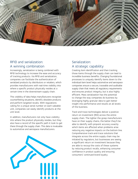

### RFID and serialization: A winning combination

Increasingly, serialization is being combined with RFID technology to increase the ease and accuracy of tracking products. Via RFID and serialization, companies can facilitate the authentication of serialized products by distributors or retailers, which provides manufacturers with real-time visibility into where a specific product physically resides at a certain time in the downstream supply chain.

This visibility of data helps manufacturers recognize counterfeiting situations, identify obsolete products and perform targeted recalls. With regulations calling for a unique serial number on each saleable unit, companies can easily identify products at the unit level.

In addition, manufacturers not only have visibility into where the product physically resides, but they also have a record of the specific path it took to get there through the supply chain. This data is invaluable to automotive and aerospace manufacturers.



## Serialization: A strategic capability

Creating item identification and then tracking those items through the supply chain can lead to incredible business benefits. Changing foundational processes to uniquely identify items down to the individual item level helps automotive and aerospace companies ensure a secure, traceable and auditable supply chain that meets all regulatory requirements and ensures product integrity, but is also highly efficient. Mass serialization has the potential to change the way companies do business by leveraging highly granular data to gain better insight into performance and results at all levels of the business.

Track-and-trace technologies deliver a positive return on investment (ROI) across the entire supply chain. The tighter the grasp manufacturers have on their supply chains, the better they'll be able to identify with pinpoint accuracy exactly which items are affected when problems arise reducing any negative impacts on the bottom line. Comprehensive track-and-trace solutions that integrate across the entire supply chain may be initiated by regulators, but businesses are seeing a significant return on investment because they are able to recoup the costs of these systems by reducing product recalls, enhancing consumer confidence in product quality and ensuring consumers' continued brand loyalty.